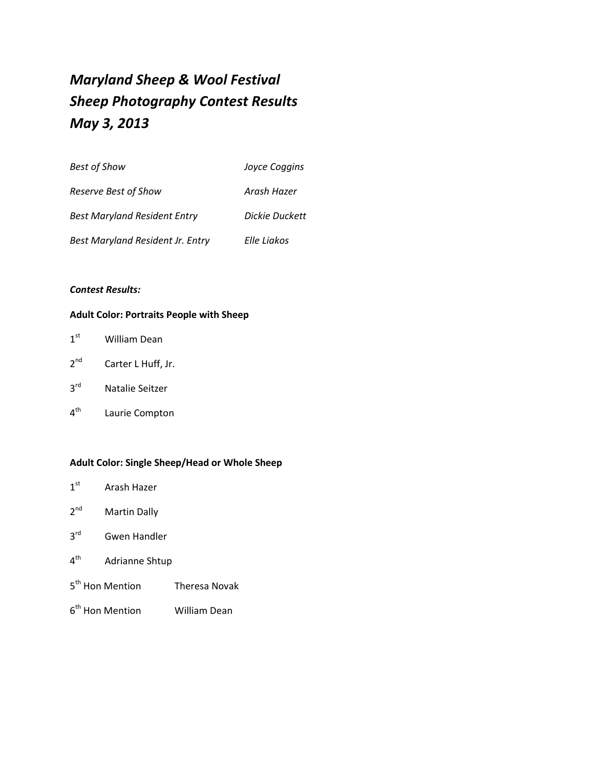# *Maryland Sheep & Wool Festival Sheep Photography Contest Results May 3, 2013*

| <b>Best of Show</b>                 | Joyce Coggins  |
|-------------------------------------|----------------|
| Reserve Best of Show                | Arash Hazer    |
| <b>Best Maryland Resident Entry</b> | Dickie Duckett |
| Best Maryland Resident Jr. Entry    | Elle Liakos    |

#### *Contest Results:*

#### **Adult Color: Portraits People with Sheep**

| 1 <sup>st</sup> | <b>William Dean</b> |  |
|-----------------|---------------------|--|
|-----------------|---------------------|--|

- 2<sup>nd</sup> Carter L Huff, Jr.
- 3rd Natalie Seitzer
- 4<sup>th</sup> Laurie Compton

### **Adult Color: Single Sheep/Head or Whole Sheep**

- 1<sup>st</sup> Arash Hazer
- 2<sup>nd</sup> Martin Dally
- 3<sup>rd</sup> Gwen Handler
- 4<sup>th</sup> Adrianne Shtup
- 5<sup>th</sup> Hon Mention Theresa Novak
- 6<sup>th</sup> Hon Mention William Dean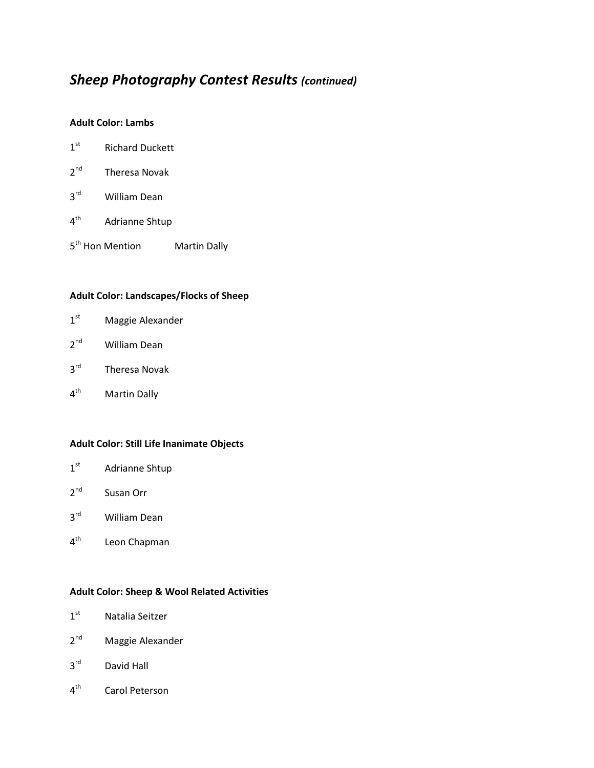#### **Adult Color: Lambs**

- 1<sup>st</sup> Richard Duckett
- 2<sup>nd</sup> Theresa Novak
- 3<sup>rd</sup> William Dean
- 4<sup>th</sup> Adrianne Shtup
- 5<sup>th</sup> Hon Mention Martin Dally

### **Adult Color: Landscapes/Flocks of Sheep**

- 1<sup>st</sup> Maggie Alexander
- 2<sup>nd</sup> William Dean
- 3<sup>rd</sup> Theresa Novak
- 4<sup>th</sup> Martin Dally

#### **Adult Color: Still Life Inanimate Objects**

- 1<sup>st</sup> Adrianne Shtup
- 2<sup>nd</sup> Susan Orr
- 3<sup>rd</sup> William Dean
- 4<sup>th</sup> Leon Chapman

#### **Adult Color: Sheep & Wool Related Activities**

- 1<sup>st</sup> Natalia Seitzer
- 2<sup>nd</sup> Maggie Alexander
- 3<sup>rd</sup> David Hall
- 4<sup>th</sup> Carol Peterson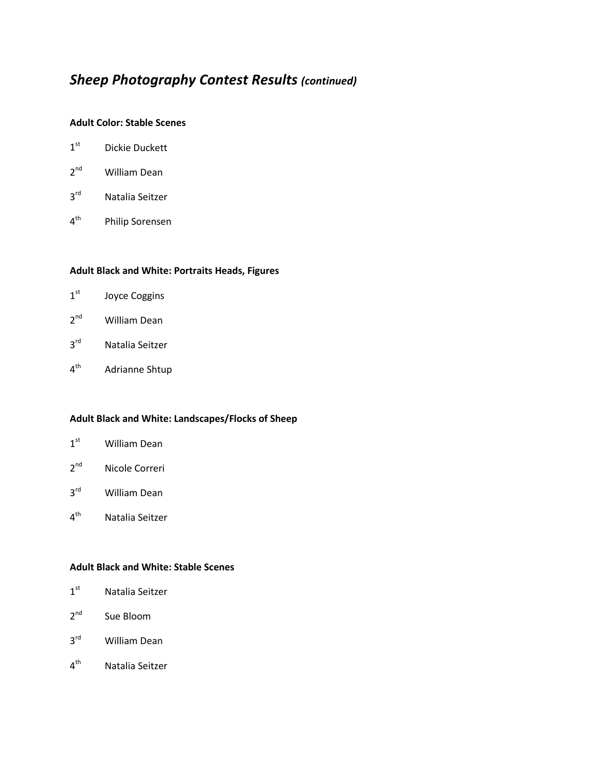#### **Adult Color: Stable Scenes**

- 1<sup>st</sup> Dickie Duckett
- 2<sup>nd</sup> William Dean
- 3<sup>rd</sup> Natalia Seitzer
- 4<sup>th</sup> Philip Sorensen

#### **Adult Black and White: Portraits Heads, Figures**

- 1st Joyce Coggins
- 2<sup>nd</sup> William Dean
- 3rd Natalia Seitzer
- 4<sup>th</sup> Adrianne Shtup

#### **Adult Black and White: Landscapes/Flocks of Sheep**

- 1<sup>st</sup> William Dean
- 2<sup>nd</sup> Nicole Correri
- 3<sup>rd</sup> William Dean
- 4<sup>th</sup> Natalia Seitzer

#### **Adult Black and White: Stable Scenes**

- 1<sup>st</sup> Natalia Seitzer
- 2<sup>nd</sup> Sue Bloom
- 3<sup>rd</sup> William Dean
- 4<sup>th</sup> Natalia Seitzer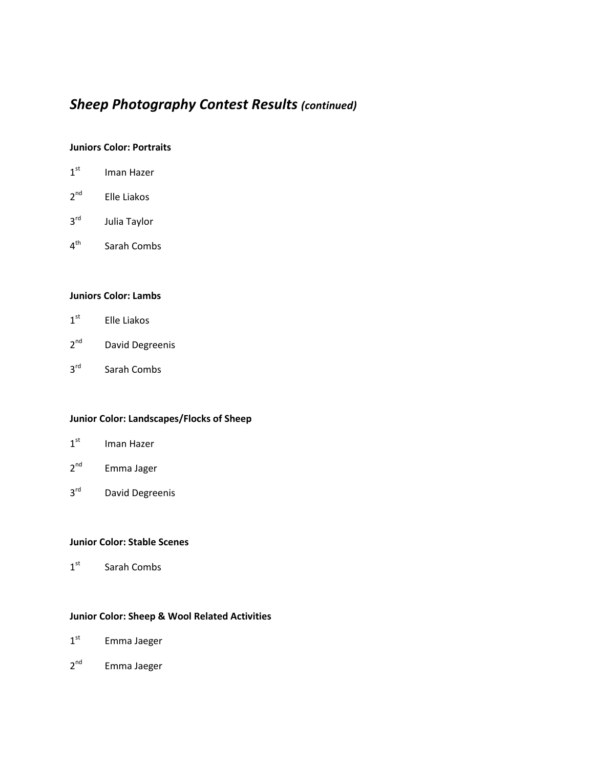#### **Juniors Color: Portraits**

| 1 <sup>st</sup> | Iman Hazer   |
|-----------------|--------------|
| 2 <sup>nd</sup> | Elle Liakos  |
| $3^{\text{rd}}$ | Julia Taylor |
| 4 <sup>th</sup> | Sarah Combs  |

#### **Juniors Color: Lambs**

- 1<sup>st</sup> Elle Liakos
- 2<sup>nd</sup> David Degreenis
- 3rd Sarah Combs

### **Junior Color: Landscapes/Flocks of Sheep**

- 1<sup>st</sup> Iman Hazer
- 2<sup>nd</sup> Emma Jager
- 3rd David Degreenis

#### **Junior Color: Stable Scenes**

1<sup>st</sup> Sarah Combs

#### **Junior Color: Sheep & Wool Related Activities**

- 1<sup>st</sup> Emma Jaeger
- 2<sup>nd</sup> Emma Jaeger